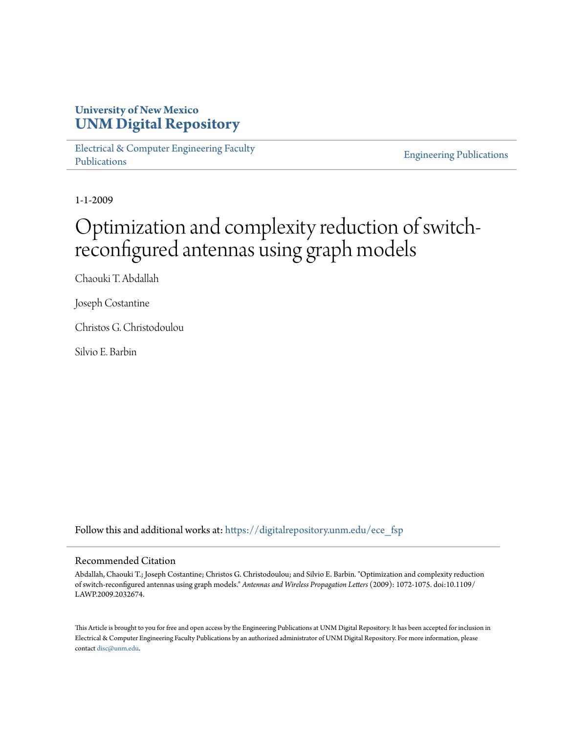# **University of New Mexico [UNM Digital Repository](https://digitalrepository.unm.edu?utm_source=digitalrepository.unm.edu%2Fece_fsp%2F76&utm_medium=PDF&utm_campaign=PDFCoverPages)**

[Electrical & Computer Engineering Faculty](https://digitalrepository.unm.edu/ece_fsp?utm_source=digitalrepository.unm.edu%2Fece_fsp%2F76&utm_medium=PDF&utm_campaign=PDFCoverPages) [Publications](https://digitalrepository.unm.edu/ece_fsp?utm_source=digitalrepository.unm.edu%2Fece_fsp%2F76&utm_medium=PDF&utm_campaign=PDFCoverPages)

[Engineering Publications](https://digitalrepository.unm.edu/eng_fsp?utm_source=digitalrepository.unm.edu%2Fece_fsp%2F76&utm_medium=PDF&utm_campaign=PDFCoverPages)

1-1-2009

# Optimization and complexity reduction of switchreconfigured antennas using graph models

Chaouki T. Abdallah

Joseph Costantine

Christos G. Christodoulou

Silvio E. Barbin

Follow this and additional works at: [https://digitalrepository.unm.edu/ece\\_fsp](https://digitalrepository.unm.edu/ece_fsp?utm_source=digitalrepository.unm.edu%2Fece_fsp%2F76&utm_medium=PDF&utm_campaign=PDFCoverPages)

# Recommended Citation

Abdallah, Chaouki T.; Joseph Costantine; Christos G. Christodoulou; and Silvio E. Barbin. "Optimization and complexity reduction of switch-reconfigured antennas using graph models." *Antennas and Wireless Propagation Letters* (2009): 1072-1075. doi:10.1109/ LAWP.2009.2032674.

This Article is brought to you for free and open access by the Engineering Publications at UNM Digital Repository. It has been accepted for inclusion in Electrical & Computer Engineering Faculty Publications by an authorized administrator of UNM Digital Repository. For more information, please contact [disc@unm.edu.](mailto:disc@unm.edu)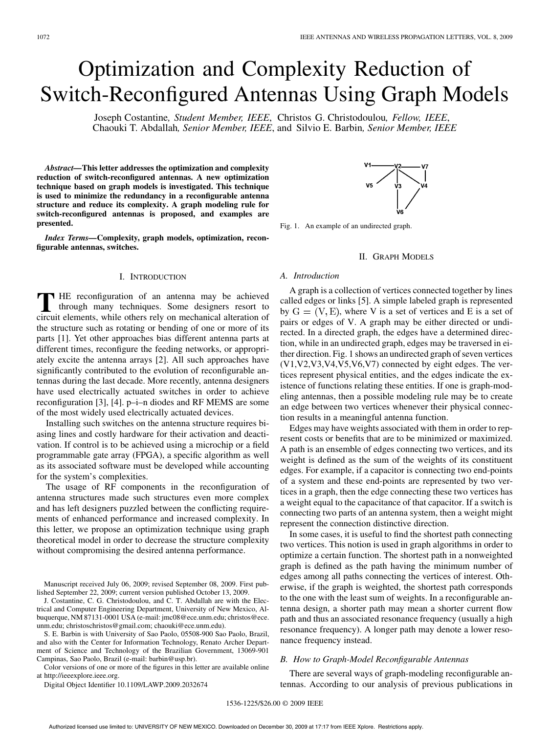# Optimization and Complexity Reduction of Switch-Reconfigured Antennas Using Graph Models

Joseph Costantine*, Student Member, IEEE*, Christos G. Christodoulou*, Fellow, IEEE*, Chaouki T. Abdallah*, Senior Member, IEEE*, and Silvio E. Barbin*, Senior Member, IEEE*

*Abstract—***This letter addresses the optimization and complexity reduction of switch-reconfigured antennas. A new optimization technique based on graph models is investigated. This technique is used to minimize the redundancy in a reconfigurable antenna structure and reduce its complexity. A graph modeling rule for switch-reconfigured antennas is proposed, and examples are presented.**

*Index Terms—***Complexity, graph models, optimization, reconfigurable antennas, switches.**

# I. INTRODUCTION

**T** HE reconfiguration of an antenna may be achieved through many techniques. Some designers resort to circuit elements, while others rely on mechanical alteration of the structure such as rotating or bending of one or more of its parts [1]. Yet other approaches bias different antenna parts at different times, reconfigure the feeding networks, or appropriately excite the antenna arrays [2]. All such approaches have significantly contributed to the evolution of reconfigurable antennas during the last decade. More recently, antenna designers have used electrically actuated switches in order to achieve reconfiguration [3], [4]. p–i–n diodes and RF MEMS are some of the most widely used electrically actuated devices.

Installing such switches on the antenna structure requires biasing lines and costly hardware for their activation and deactivation. If control is to be achieved using a microchip or a field programmable gate array (FPGA), a specific algorithm as well as its associated software must be developed while accounting for the system's complexities.

The usage of RF components in the reconfiguration of antenna structures made such structures even more complex and has left designers puzzled between the conflicting requirements of enhanced performance and increased complexity. In this letter, we propose an optimization technique using graph theoretical model in order to decrease the structure complexity without compromising the desired antenna performance.

Manuscript received July 06, 2009; revised September 08, 2009. First published September 22, 2009; current version published October 13, 2009.

J. Costantine, C. G. Christodoulou, and C. T. Abdallah are with the Electrical and Computer Engineering Department, University of New Mexico, Albuquerque, NM 87131-0001 USA (e-mail: jmc08@ece.unm.edu; christos@ece. unm.edu; christoschristos@gmail.com; chaouki@ece.unm.edu).

S. E. Barbin is with University of Sao Paolo, 05508-900 Sao Paolo, Brazil, and also with the Center for Information Technology, Renato Archer Department of Science and Technology of the Brazilian Government, 13069-901 Campinas, Sao Paolo, Brazil (e-mail: barbin@usp.br).

Color versions of one or more of the figures in this letter are available online at http://ieeexplore.ieee.org.

Digital Object Identifier 10.1109/LAWP.2009.2032674



Fig. 1. An example of an undirected graph.

#### II. GRAPH MODELS

#### *A. Introduction*

A graph is a collection of vertices connected together by lines called edges or links [5]. A simple labeled graph is represented by  $G = (V, E)$ , where V is a set of vertices and E is a set of pairs or edges of V. A graph may be either directed or undirected. In a directed graph, the edges have a determined direction, while in an undirected graph, edges may be traversed in either direction. Fig. 1 shows an undirected graph of seven vertices (V1,V2,V3,V4,V5,V6,V7) connected by eight edges. The vertices represent physical entities, and the edges indicate the existence of functions relating these entities. If one is graph-modeling antennas, then a possible modeling rule may be to create an edge between two vertices whenever their physical connection results in a meaningful antenna function.

Edges may have weights associated with them in order to represent costs or benefits that are to be minimized or maximized. A path is an ensemble of edges connecting two vertices, and its weight is defined as the sum of the weights of its constituent edges. For example, if a capacitor is connecting two end-points of a system and these end-points are represented by two vertices in a graph, then the edge connecting these two vertices has a weight equal to the capacitance of that capacitor. If a switch is connecting two parts of an antenna system, then a weight might represent the connection distinctive direction.

In some cases, it is useful to find the shortest path connecting two vertices. This notion is used in graph algorithms in order to optimize a certain function. The shortest path in a nonweighted graph is defined as the path having the minimum number of edges among all paths connecting the vertices of interest. Otherwise, if the graph is weighted, the shortest path corresponds to the one with the least sum of weights. In a reconfigurable antenna design, a shorter path may mean a shorter current flow path and thus an associated resonance frequency (usually a high resonance frequency). A longer path may denote a lower resonance frequency instead.

# *B. How to Graph-Model Reconfigurable Antennas*

There are several ways of graph-modeling reconfigurable antennas. According to our analysis of previous publications in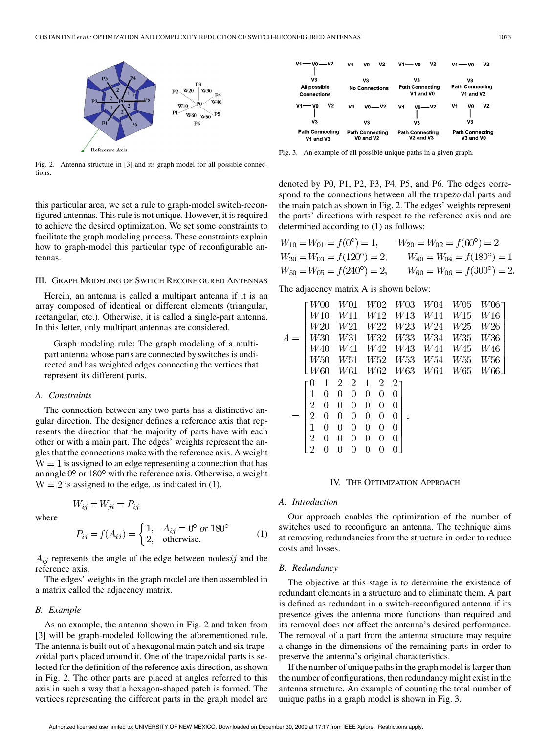

Fig. 2. Antenna structure in [3] and its graph model for all possible connections.

this particular area, we set a rule to graph-model switch-reconfigured antennas. This rule is not unique. However, it is required to achieve the desired optimization. We set some constraints to facilitate the graph modeling process. These constraints explain how to graph-model this particular type of reconfigurable antennas.

#### III. GRAPH MODELING OF SWITCH RECONFIGURED ANTENNAS

Herein, an antenna is called a multipart antenna if it is an array composed of identical or different elements (triangular, rectangular, etc.). Otherwise, it is called a single-part antenna. In this letter, only multipart antennas are considered.

Graph modeling rule: The graph modeling of a multipart antenna whose parts are connected by switches is undirected and has weighted edges connecting the vertices that represent its different parts.

# *A. Constraints*

The connection between any two parts has a distinctive angular direction. The designer defines a reference axis that represents the direction that the majority of parts have with each other or with a main part. The edges' weights represent the angles that the connections make with the reference axis. A weight  $W = 1$  is assigned to an edge representing a connection that has an angle  $0^{\circ}$  or  $180^{\circ}$  with the reference axis. Otherwise, a weight  $W = 2$  is assigned to the edge, as indicated in (1).

$$
W_{ij} = W_{ji} = I
$$

where

$$
P_{ij} = f(A_{ij}) = \begin{cases} 1, & A_{ij} = 0^{\circ} \text{ or } 180^{\circ} \\ 2, & \text{otherwise.} \end{cases}
$$
 (1)

 $A_{ij}$  represents the angle of the edge between nodes *ij* and the reference axis.

The edges' weights in the graph model are then assembled in a matrix called the adjacency matrix.

#### *B. Example*

As an example, the antenna shown in Fig. 2 and taken from [3] will be graph-modeled following the aforementioned rule. The antenna is built out of a hexagonal main patch and six trapezoidal parts placed around it. One of the trapezoidal parts is selected for the definition of the reference axis direction, as shown in Fig. 2. The other parts are placed at angles referred to this axis in such a way that a hexagon-shaped patch is formed. The vertices representing the different parts in the graph model are



Fig. 3. An example of all possible unique paths in a given graph.

denoted by P0, P1, P2, P3, P4, P5, and P6. The edges correspond to the connections between all the trapezoidal parts and the main patch as shown in Fig. 2. The edges' weights represent the parts' directions with respect to the reference axis and are determined according to (1) as follows:

$$
W_{10} = W_{01} = f(0^{\circ}) = 1, \qquad W_{20} = W_{02} = f(60^{\circ}) = 2
$$
  
\n
$$
W_{30} = W_{03} = f(120^{\circ}) = 2, \qquad W_{40} = W_{04} = f(180^{\circ}) = 1
$$
  
\n
$$
W_{50} = W_{05} = f(240^{\circ}) = 2, \qquad W_{60} = W_{06} = f(300^{\circ}) = 2.
$$

The adjacency matrix A is shown below:

$$
A = \begin{bmatrix} W00 & W01 & W02 & W03 & W04 & W05 & W06 \\ W10 & W11 & W12 & W13 & W14 & W15 & W16 \\ W20 & W21 & W22 & W23 & W24 & W25 & W26 \\ W30 & W31 & W32 & W33 & W34 & W35 & W36 \\ W40 & W41 & W42 & W43 & W44 & W45 & W46 \\ W50 & W51 & W52 & W53 & W54 & W55 & W56 \\ W60 & W61 & W62 & W63 & W64 & W65 & W66 \end{bmatrix}
$$
  
= 
$$
\begin{bmatrix} 0 & 1 & 2 & 2 & 1 & 2 & 2 \\ 1 & 0 & 0 & 0 & 0 & 0 & 0 \\ 2 & 0 & 0 & 0 & 0 & 0 & 0 \\ 2 & 0 & 0 & 0 & 0 & 0 & 0 \\ 1 & 0 & 0 & 0 & 0 & 0 & 0 \\ 2 & 0 & 0 & 0 & 0 & 0 & 0 \\ 2 & 0 & 0 & 0 & 0 & 0 & 0 \end{bmatrix}.
$$

# IV. THE OPTIMIZATION APPROACH

#### *A. Introduction*

Our approach enables the optimization of the number of switches used to reconfigure an antenna. The technique aims at removing redundancies from the structure in order to reduce costs and losses.

#### *B. Redundancy*

The objective at this stage is to determine the existence of redundant elements in a structure and to eliminate them. A part is defined as redundant in a switch-reconfigured antenna if its presence gives the antenna more functions than required and its removal does not affect the antenna's desired performance. The removal of a part from the antenna structure may require a change in the dimensions of the remaining parts in order to preserve the antenna's original characteristics.

If the number of unique paths in the graph model is larger than the number of configurations, then redundancy might exist in the antenna structure. An example of counting the total number of unique paths in a graph model is shown in Fig. 3.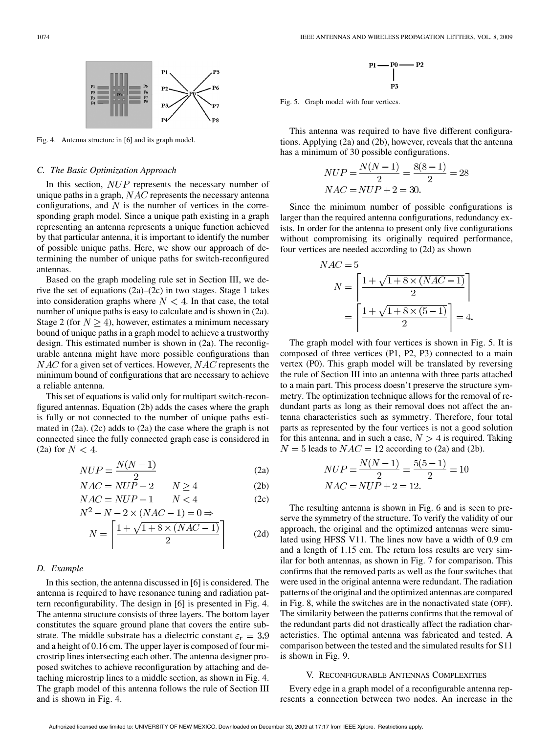

Fig. 4. Antenna structure in [6] and its graph model.

#### *C. The Basic Optimization Approach*

In this section,  $NUP$  represents the necessary number of unique paths in a graph,  $NAC$  represents the necessary antenna configurations, and  $N$  is the number of vertices in the corresponding graph model. Since a unique path existing in a graph representing an antenna represents a unique function achieved by that particular antenna, it is important to identify the number of possible unique paths. Here, we show our approach of determining the number of unique paths for switch-reconfigured antennas.

Based on the graph modeling rule set in Section III, we derive the set of equations (2a)–(2c) in two stages. Stage 1 takes into consideration graphs where  $N < 4$ . In that case, the total number of unique paths is easy to calculate and is shown in (2a). Stage 2 (for  $N > 4$ ), however, estimates a minimum necessary bound of unique paths in a graph model to achieve a trustworthy design. This estimated number is shown in (2a). The reconfigurable antenna might have more possible configurations than  $NAC$  for a given set of vertices. However,  $NAC$  represents the minimum bound of configurations that are necessary to achieve a reliable antenna.

This set of equations is valid only for multipart switch-reconfigured antennas. Equation (2b) adds the cases where the graph is fully or not connected to the number of unique paths estimated in (2a). (2c) adds to (2a) the case where the graph is not connected since the fully connected graph case is considered in (2a) for  $N < 4$ .

$$
NUP = \frac{N(N-1)}{2} \tag{2a}
$$

$$
NAC = NUP + 2 \qquad N \ge 4 \tag{2b}
$$

$$
NAC = NUP + 1 \qquad N < 4 \tag{2c}
$$
  

$$
N^2 - N - 2 \times (NAC - 1) - 0 \rightarrow
$$

$$
N = \left\lceil \frac{1 + \sqrt{1 + 8 \times (NAC - 1)}}{2} \right\rceil \tag{2d}
$$

# *D. Example*

In this section, the antenna discussed in [6] is considered. The antenna is required to have resonance tuning and radiation pattern reconfigurability. The design in [6] is presented in Fig. 4. The antenna structure consists of three layers. The bottom layer constitutes the square ground plane that covers the entire substrate. The middle substrate has a dielectric constant  $\varepsilon_{\rm r} = 3.9$ and a height of 0.16 cm. The upper layer is composed of four microstrip lines intersecting each other. The antenna designer proposed switches to achieve reconfiguration by attaching and detaching microstrip lines to a middle section, as shown in Fig. 4. The graph model of this antenna follows the rule of Section III and is shown in Fig. 4.

$$
\begin{array}{c}\n\text{P1} \longrightarrow \text{P0} \longrightarrow \text{P2} \\
\mid \\
\text{P3}\n\end{array}
$$

Fig. 5. Graph model with four vertices.

 $\overline{N}$ 

This antenna was required to have five different configurations. Applying (2a) and (2b), however, reveals that the antenna has a minimum of 30 possible configurations.

$$
NUP = \frac{N(N-1)}{2} = \frac{8(8-1)}{2} = 28
$$
  

$$
NAC = NUP + 2 = 30.
$$

Since the minimum number of possible configurations is larger than the required antenna configurations, redundancy exists. In order for the antenna to present only five configurations without compromising its originally required performance, four vertices are needed according to (2d) as shown

$$
AC = 5
$$
  

$$
N = \left[ \frac{1 + \sqrt{1 + 8 \times (NAC - 1)}}{2} \right]
$$
  

$$
= \left[ \frac{1 + \sqrt{1 + 8 \times (5 - 1)}}{2} \right] = 4.
$$

The graph model with four vertices is shown in Fig. 5. It is composed of three vertices (P1, P2, P3) connected to a main vertex (P0). This graph model will be translated by reversing the rule of Section III into an antenna with three parts attached to a main part. This process doesn't preserve the structure symmetry. The optimization technique allows for the removal of redundant parts as long as their removal does not affect the antenna characteristics such as symmetry. Therefore, four total parts as represented by the four vertices is not a good solution for this antenna, and in such a case,  $N > 4$  is required. Taking  $N = 5$  leads to  $NAC = 12$  according to (2a) and (2b).

$$
NUP = \frac{N(N-1)}{2} = \frac{5(5-1)}{2} = 10
$$
  

$$
NAC = NUP + 2 = 12.
$$

The resulting antenna is shown in Fig. 6 and is seen to preserve the symmetry of the structure. To verify the validity of our approach, the original and the optimized antennas were simulated using HFSS V11. The lines now have a width of 0.9 cm and a length of 1.15 cm. The return loss results are very similar for both antennas, as shown in Fig. 7 for comparison. This confirms that the removed parts as well as the four switches that were used in the original antenna were redundant. The radiation patterns of the original and the optimized antennas are compared in Fig. 8, while the switches are in the nonactivated state (OFF). The similarity between the patterns confirms that the removal of the redundant parts did not drastically affect the radiation characteristics. The optimal antenna was fabricated and tested. A comparison between the tested and the simulated results for S11 is shown in Fig. 9.

# V. RECONFIGURABLE ANTENNAS COMPLEXITIES

Every edge in a graph model of a reconfigurable antenna represents a connection between two nodes. An increase in the